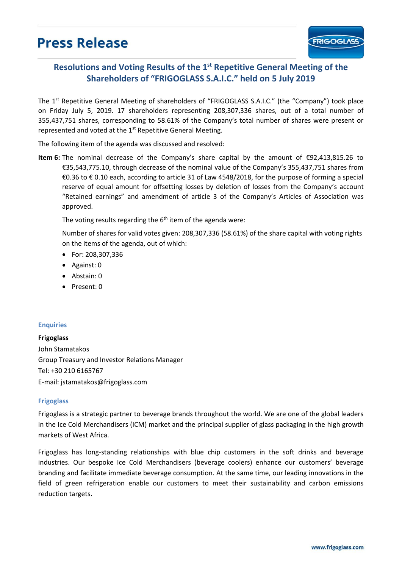## **Press Release**

## Resolutions and Voting Results of the 1<sup>st</sup> Repetitive General Meeting of the **Shareholders of "FRIGOGLASS S.A.I.C." held on 5 July 2019**

The 1<sup>st</sup> Repetitive General Meeting of shareholders of "FRIGOGLASS S.A.I.C." (the "Company") took place on Friday July 5, 2019. 17 shareholders representing 208,307,336 shares, out of a total number of 355,437,751 shares, corresponding to 58.61% of the Company's total number of shares were present or represented and voted at the 1<sup>st</sup> Repetitive General Meeting.

The following item of the agenda was discussed and resolved:

**Item 6:** The nominal decrease of the Company's share capital by the amount of €92,413,815.26 to €35,543,775.10, through decrease of the nominal value of the Company's 355,437,751 shares from €0.36 to € 0.10 each, according to article 31 of Law 4548/2018, for the purpose of forming a special reserve of equal amount for offsetting losses by deletion of losses from the Company's account "Retained earnings" and amendment of article 3 of the Company's Articles of Association was approved.

The voting results regarding the 6<sup>th</sup> item of the agenda were:

Number of shares for valid votes given: 208,307,336 (58.61%) of the share capital with voting rights on the items of the agenda, out of which:

- For: 208,307,336
- Against: 0
- Abstain: 0
- Present: 0

## **Enquiries**

**Frigoglass**  John Stamatakos Group Treasury and Investor Relations Manager Tel: +30 210 6165767 E-mail: jstamatakos@frigoglass.com

## **Frigoglass**

Frigoglass is a strategic partner to beverage brands throughout the world. We are one of the global leaders in the Ice Cold Merchandisers (ICM) market and the principal supplier of glass packaging in the high growth markets of West Africa.

Frigoglass has long-standing relationships with blue chip customers in the soft drinks and beverage industries. Our bespoke Ice Cold Merchandisers (beverage coolers) enhance our customers' beverage branding and facilitate immediate beverage consumption. At the same time, our leading innovations in the field of green refrigeration enable our customers to meet their sustainability and carbon emissions reduction targets.